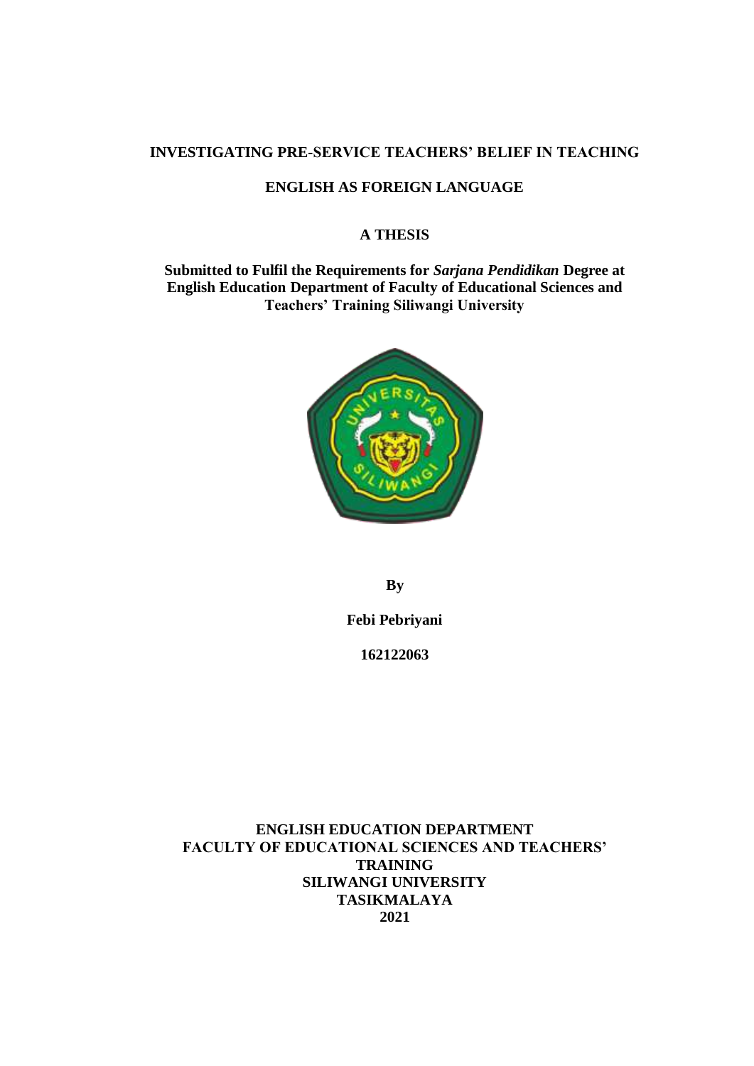## **INVESTIGATING PRE-SERVICE TEACHERS' BELIEF IN TEACHING**

## **ENGLISH AS FOREIGN LANGUAGE**

### **A THESIS**

**Submitted to Fulfil the Requirements for** *Sarjana Pendidikan* **Degree at English Education Department of Faculty of Educational Sciences and Teachers' Training Siliwangi University**



**By**

**Febi Pebriyani**

**162122063**

**ENGLISH EDUCATION DEPARTMENT FACULTY OF EDUCATIONAL SCIENCES AND TEACHERS' TRAINING SILIWANGI UNIVERSITY TASIKMALAYA 2021**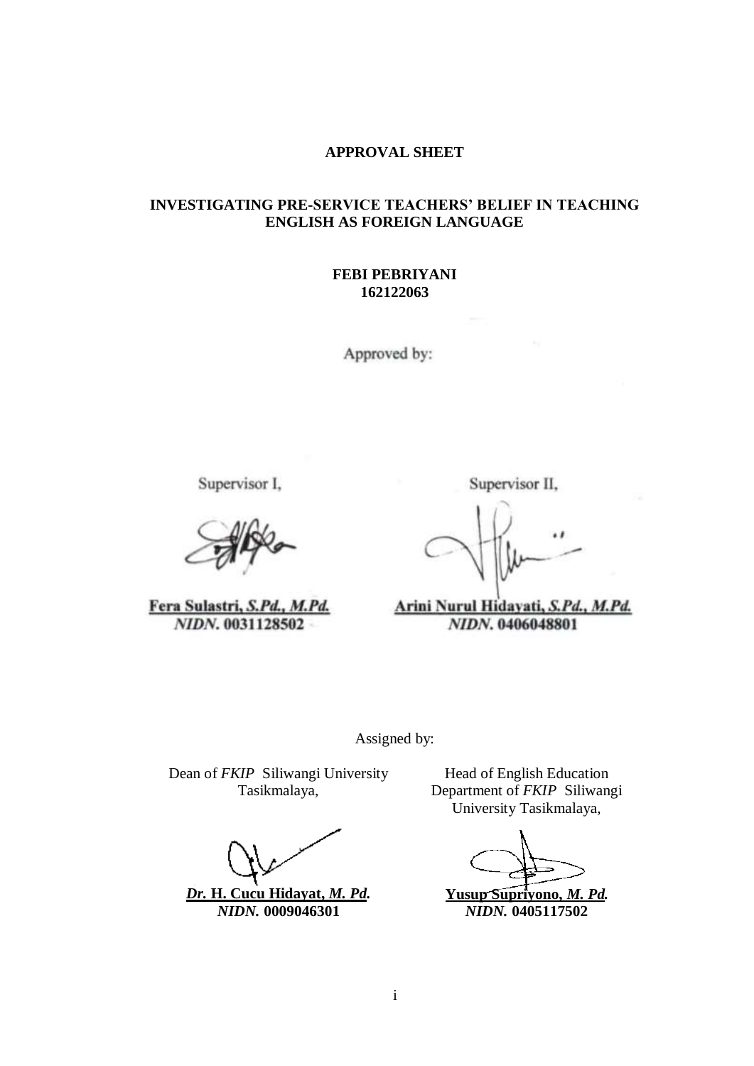## **APPROVAL SHEET**

### **INVESTIGATING PRE-SERVICE TEACHERS' BELIEF IN TEACHING ENGLISH AS FOREIGN LANGUAGE**

#### **FEBI PEBRIYANI 162122063**

Approved by:

Supervisor I,

Fera Sulastri, S.Pd., M.Pd. NIDN. 0031128502

Supervisor II,

 $\cdot$ 

Arini Nurul Hidayati, S.Pd., M.Pd. NIDN. 0406048801

Assigned by:

Dean of *FKIP* Siliwangi University Tasikmalaya,

*Dr.* **H. Cucu Hidayat,** *M. Pd. NIDN.* **0009046301**

Head of English Education Department of *FKIP* Siliwangi University Tasikmalaya,

**Yusup Supriyono,** *M. Pd. NIDN.* **0405117502**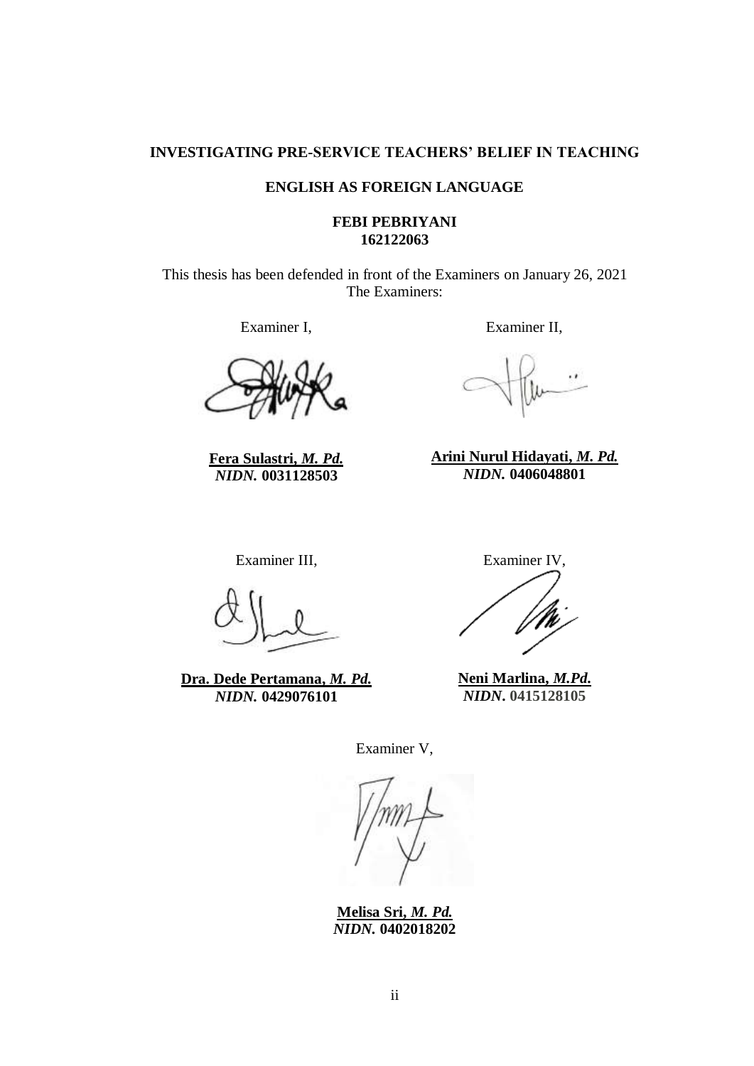## **INVESTIGATING PRE-SERVICE TEACHERS' BELIEF IN TEACHING**

### **ENGLISH AS FOREIGN LANGUAGE**

#### **FEBI PEBRIYANI 162122063**

This thesis has been defended in front of the Examiners on January 26, 2021 The Examiners:

Examiner I,

**Fera Sulastri,** *M. Pd. NIDN.* **0031128503**

Examiner II,

**Arini Nurul Hidayati,** *M. Pd. NIDN.* **0406048801**

Examiner III,

**Dra. Dede Pertamana,** *M. Pd. NIDN.* **0429076101**

Examiner IV,

**Neni Marlina,** *M.Pd***.** *NIDN***. 0415128105**

Examiner V,

**Melisa Sri,** *M. Pd. NIDN.* **0402018202**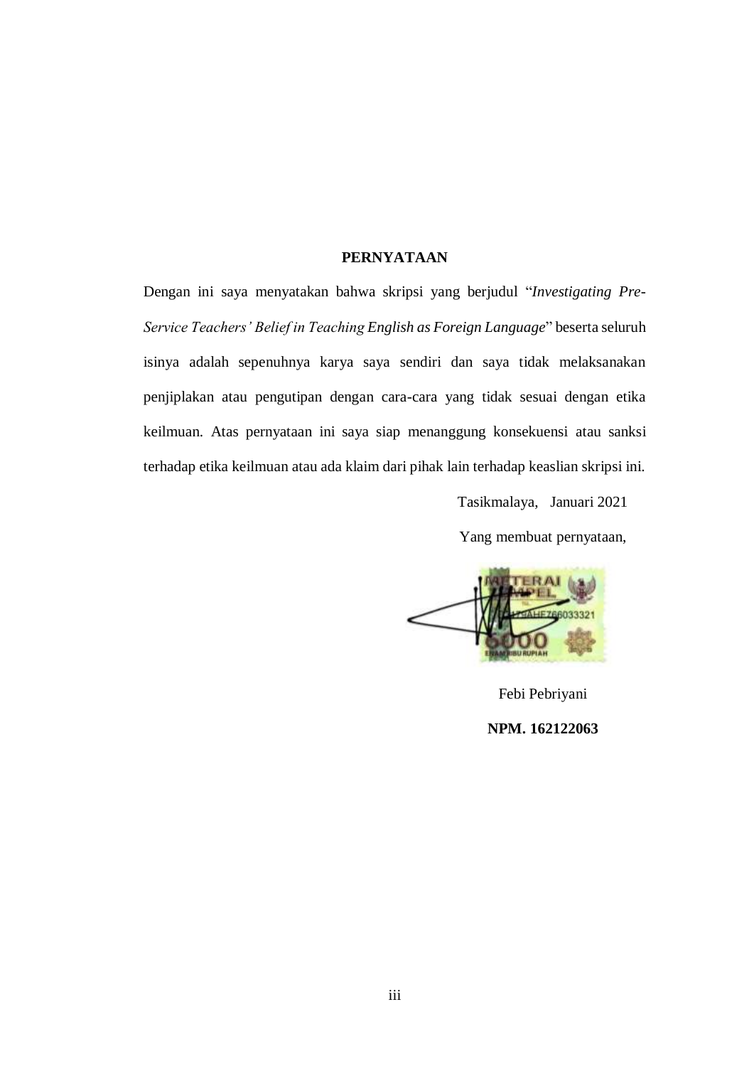## **PERNYATAAN**

Dengan ini saya menyatakan bahwa skripsi yang berjudul "*Investigating Pre-Service Teachers' Belief in Teaching English as Foreign Language*" beserta seluruh isinya adalah sepenuhnya karya saya sendiri dan saya tidak melaksanakan penjiplakan atau pengutipan dengan cara-cara yang tidak sesuai dengan etika keilmuan. Atas pernyataan ini saya siap menanggung konsekuensi atau sanksi terhadap etika keilmuan atau ada klaim dari pihak lain terhadap keaslian skripsi ini.

Tasikmalaya, Januari 2021

Yang membuat pernyataan,



Febi Pebriyani **NPM. 162122063**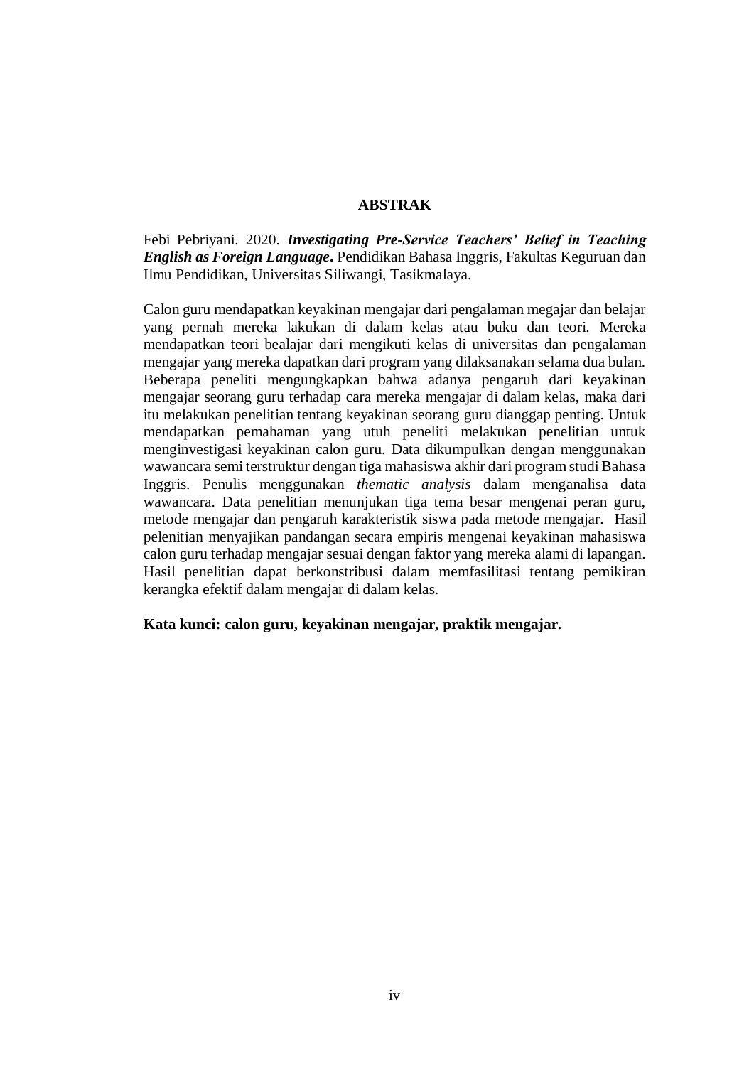### **ABSTRAK**

Febi Pebriyani. 2020. *Investigating Pre-Service Teachers' Belief in Teaching English as Foreign Language***.** Pendidikan Bahasa Inggris, Fakultas Keguruan dan Ilmu Pendidikan, Universitas Siliwangi, Tasikmalaya.

Calon guru mendapatkan keyakinan mengajar dari pengalaman megajar dan belajar yang pernah mereka lakukan di dalam kelas atau buku dan teori. Mereka mendapatkan teori bealajar dari mengikuti kelas di universitas dan pengalaman mengajar yang mereka dapatkan dari program yang dilaksanakan selama dua bulan. Beberapa peneliti mengungkapkan bahwa adanya pengaruh dari keyakinan mengajar seorang guru terhadap cara mereka mengajar di dalam kelas, maka dari itu melakukan penelitian tentang keyakinan seorang guru dianggap penting. Untuk mendapatkan pemahaman yang utuh peneliti melakukan penelitian untuk menginvestigasi keyakinan calon guru. Data dikumpulkan dengan menggunakan wawancara semi terstruktur dengan tiga mahasiswa akhir dari program studi Bahasa Inggris. Penulis menggunakan *thematic analysis* dalam menganalisa data wawancara. Data penelitian menunjukan tiga tema besar mengenai peran guru, metode mengajar dan pengaruh karakteristik siswa pada metode mengajar. Hasil pelenitian menyajikan pandangan secara empiris mengenai keyakinan mahasiswa calon guru terhadap mengajar sesuai dengan faktor yang mereka alami di lapangan. Hasil penelitian dapat berkonstribusi dalam memfasilitasi tentang pemikiran kerangka efektif dalam mengajar di dalam kelas.

#### **Kata kunci: calon guru, keyakinan mengajar, praktik mengajar.**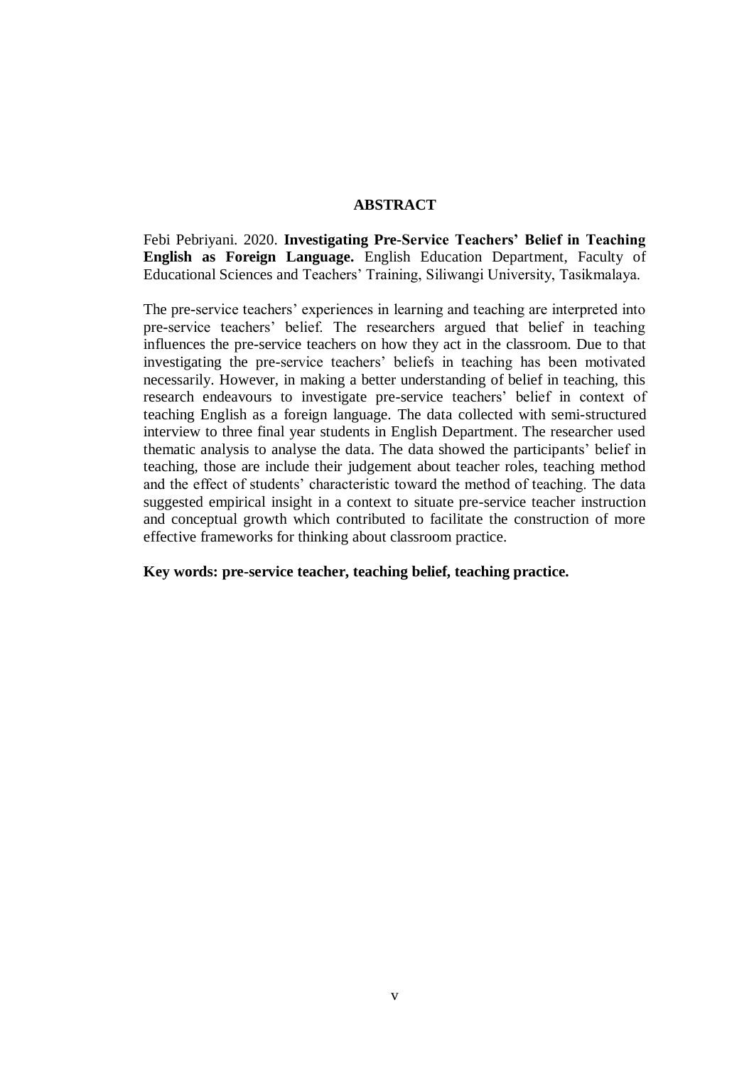### **ABSTRACT**

Febi Pebriyani. 2020. **Investigating Pre-Service Teachers' Belief in Teaching English as Foreign Language.** English Education Department, Faculty of Educational Sciences and Teachers' Training, Siliwangi University, Tasikmalaya.

The pre-service teachers' experiences in learning and teaching are interpreted into pre-service teachers' belief. The researchers argued that belief in teaching influences the pre-service teachers on how they act in the classroom. Due to that investigating the pre-service teachers' beliefs in teaching has been motivated necessarily. However, in making a better understanding of belief in teaching, this research endeavours to investigate pre-service teachers' belief in context of teaching English as a foreign language. The data collected with semi-structured interview to three final year students in English Department. The researcher used thematic analysis to analyse the data. The data showed the participants' belief in teaching, those are include their judgement about teacher roles, teaching method and the effect of students' characteristic toward the method of teaching. The data suggested empirical insight in a context to situate pre-service teacher instruction and conceptual growth which contributed to facilitate the construction of more effective frameworks for thinking about classroom practice.

**Key words: pre-service teacher, teaching belief, teaching practice.**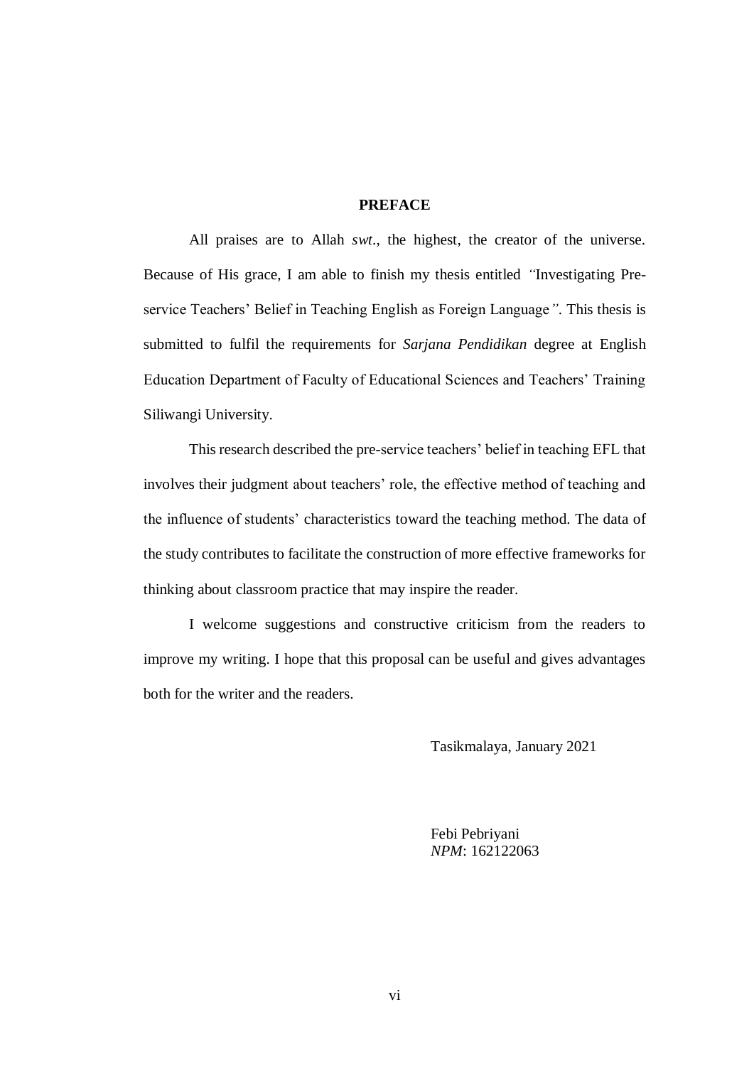### **PREFACE**

All praises are to Allah *swt*., the highest, the creator of the universe. Because of His grace, I am able to finish my thesis entitled *"*Investigating Preservice Teachers' Belief in Teaching English as Foreign Language*"*. This thesis is submitted to fulfil the requirements for *Sarjana Pendidikan* degree at English Education Department of Faculty of Educational Sciences and Teachers' Training Siliwangi University.

This research described the pre-service teachers' belief in teaching EFL that involves their judgment about teachers' role, the effective method of teaching and the influence of students' characteristics toward the teaching method. The data of the study contributes to facilitate the construction of more effective frameworks for thinking about classroom practice that may inspire the reader.

I welcome suggestions and constructive criticism from the readers to improve my writing. I hope that this proposal can be useful and gives advantages both for the writer and the readers.

Tasikmalaya, January 2021

Febi Pebriyani *NPM*: 162122063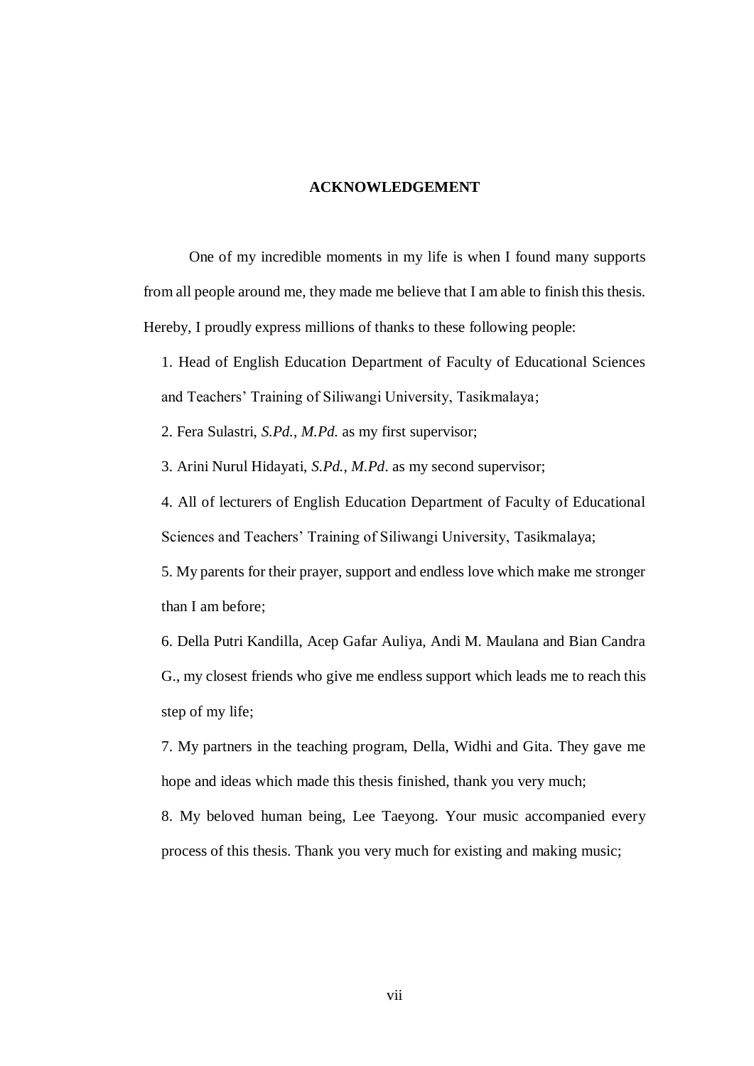#### **ACKNOWLEDGEMENT**

One of my incredible moments in my life is when I found many supports from all people around me, they made me believe that I am able to finish this thesis. Hereby, I proudly express millions of thanks to these following people:

1. Head of English Education Department of Faculty of Educational Sciences and Teachers' Training of Siliwangi University, Tasikmalaya;

2. Fera Sulastri, *S.Pd., M.Pd.* as my first supervisor;

3. Arini Nurul Hidayati, *S.Pd., M.Pd*. as my second supervisor;

4. All of lecturers of English Education Department of Faculty of Educational Sciences and Teachers' Training of Siliwangi University, Tasikmalaya;

5. My parents for their prayer, support and endless love which make me stronger than I am before;

6. Della Putri Kandilla, Acep Gafar Auliya, Andi M. Maulana and Bian Candra G., my closest friends who give me endless support which leads me to reach this step of my life;

7. My partners in the teaching program, Della, Widhi and Gita. They gave me hope and ideas which made this thesis finished, thank you very much;

8. My beloved human being, Lee Taeyong. Your music accompanied every process of this thesis. Thank you very much for existing and making music;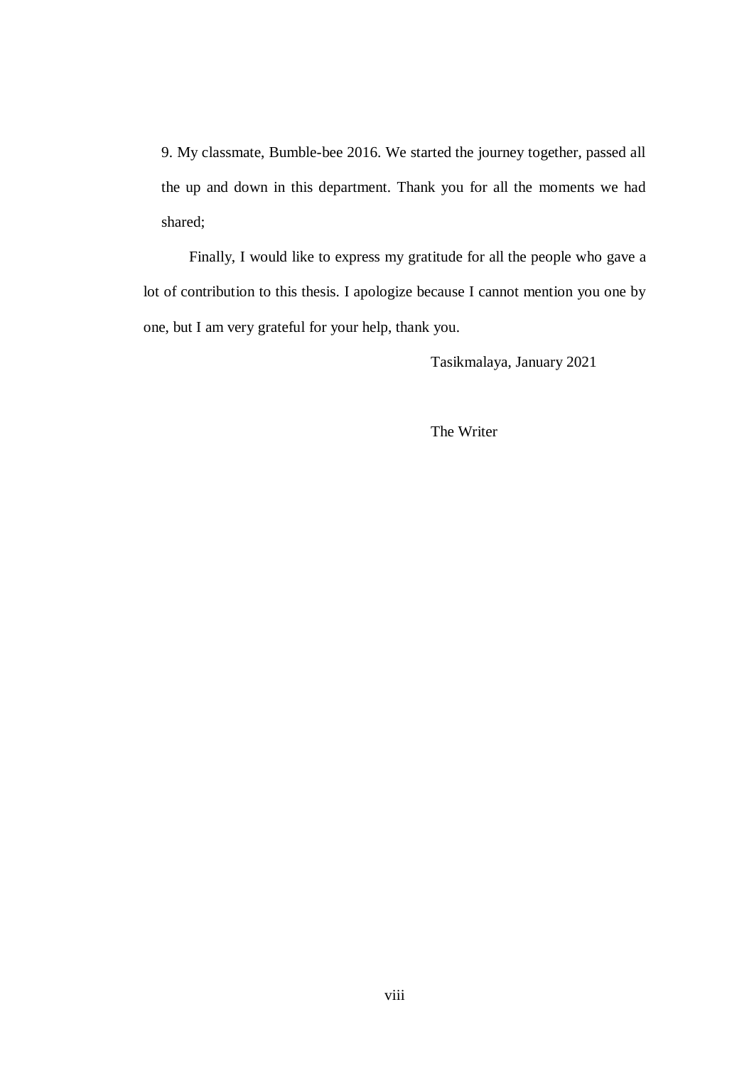9. My classmate, Bumble-bee 2016. We started the journey together, passed all the up and down in this department. Thank you for all the moments we had shared;

Finally, I would like to express my gratitude for all the people who gave a lot of contribution to this thesis. I apologize because I cannot mention you one by one, but I am very grateful for your help, thank you.

Tasikmalaya, January 2021

The Writer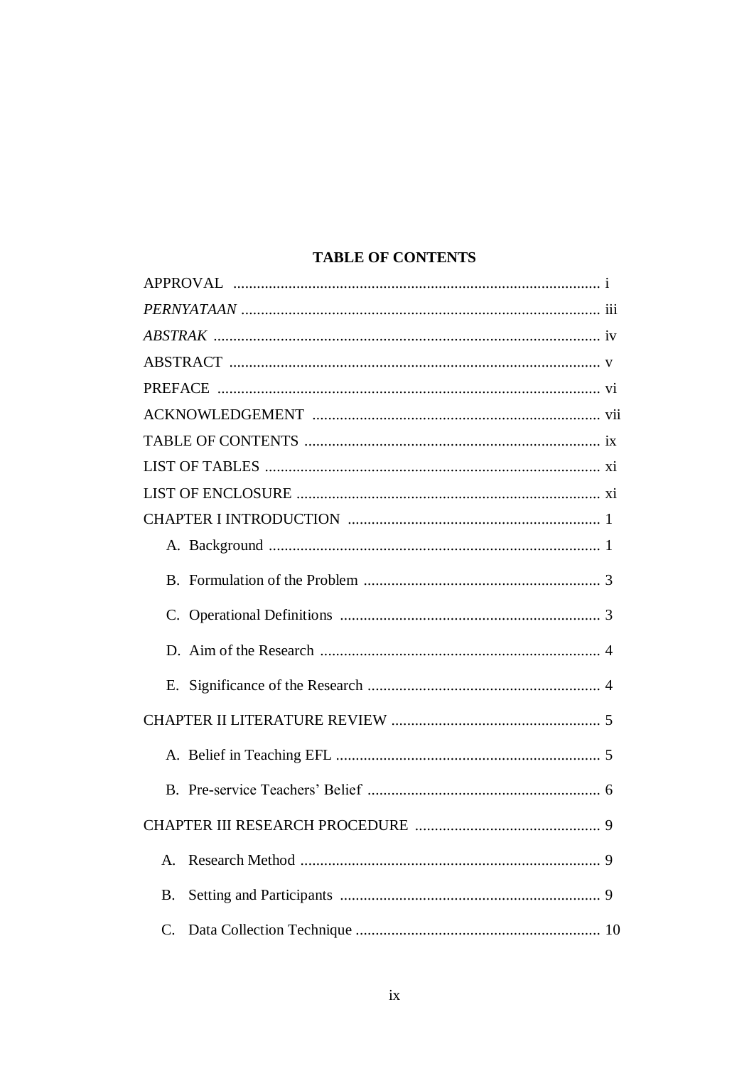# **TABLE OF CONTENTS**

| $\mathbf{A}$ |
|--------------|
| <b>B.</b>    |
| $C_{\cdot}$  |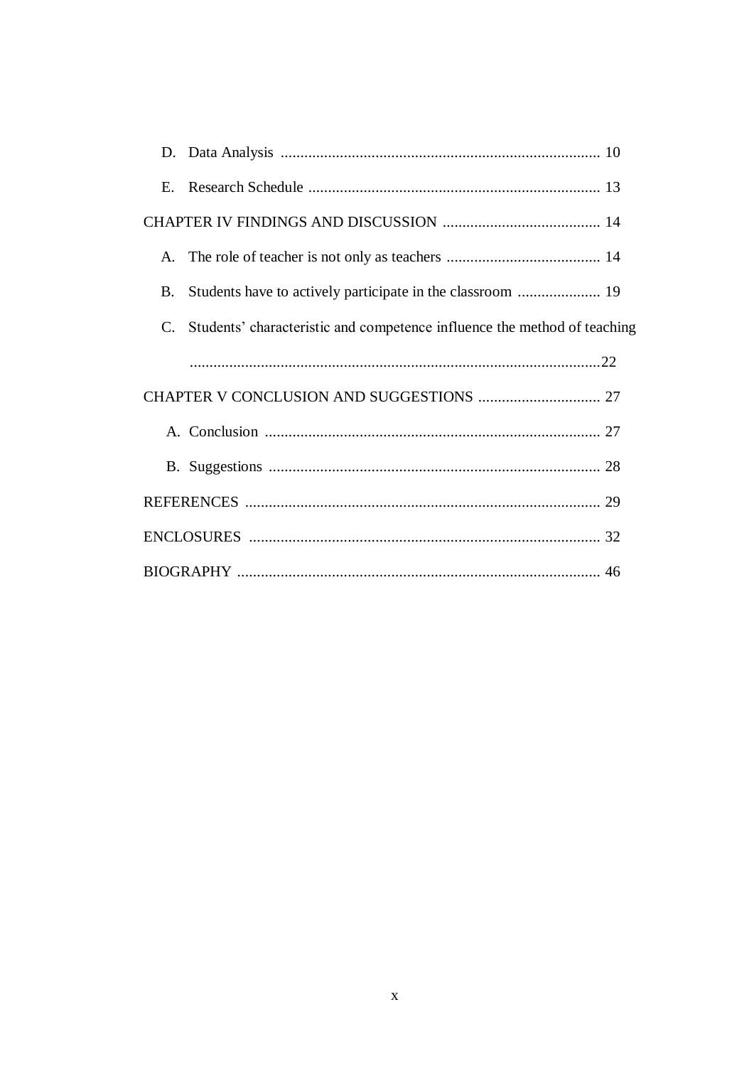| E. |                                                                          |  |
|----|--------------------------------------------------------------------------|--|
|    |                                                                          |  |
| А. |                                                                          |  |
| B. |                                                                          |  |
| C. | Students' characteristic and competence influence the method of teaching |  |
|    |                                                                          |  |
|    |                                                                          |  |
|    |                                                                          |  |
|    |                                                                          |  |
|    |                                                                          |  |
|    |                                                                          |  |
|    |                                                                          |  |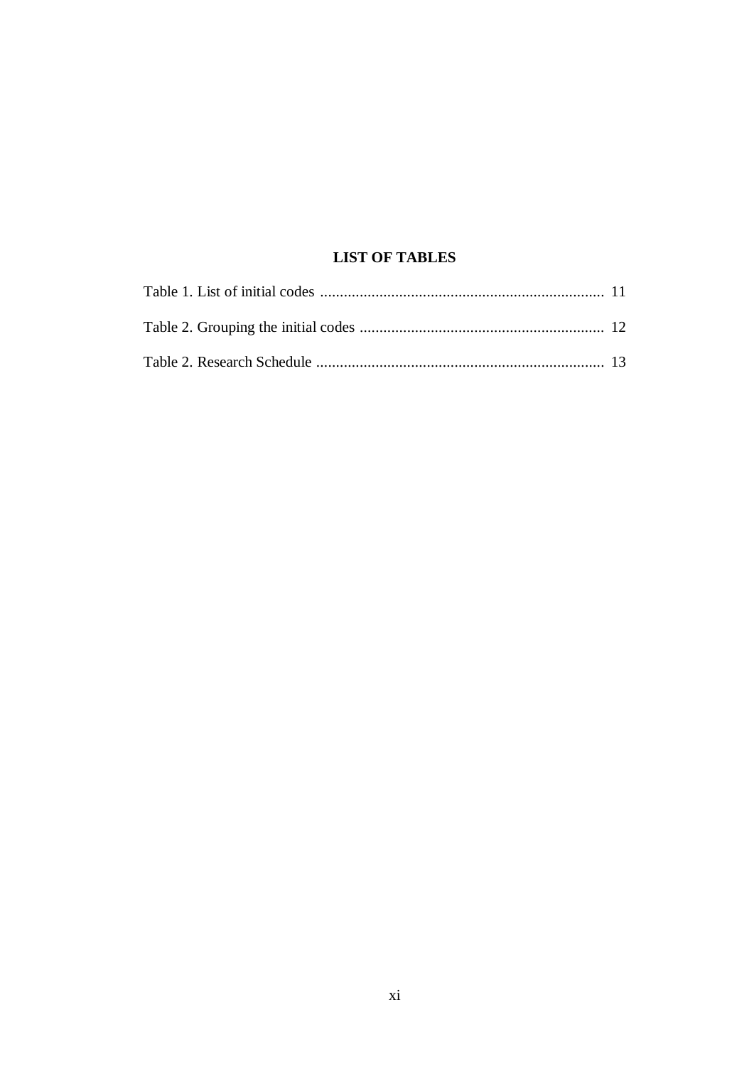# **LIST OF TABLES**